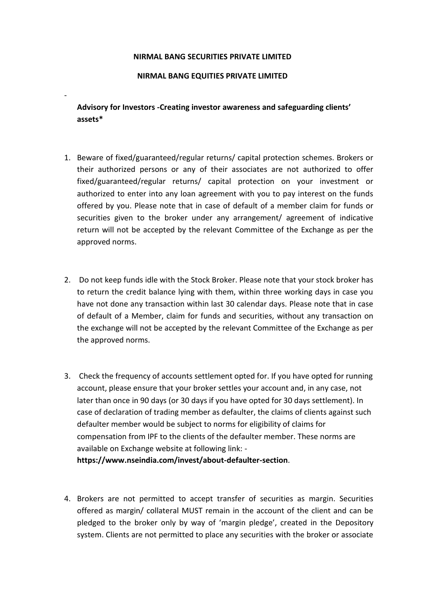## **NIRMAL BANG SECURITIES PRIVATE LIMITED**

## **NIRMAL BANG EQUITIES PRIVATE LIMITED**

-

**Advisory for Investors -Creating investor awareness and safeguarding clients' assets\***

- 1. Beware of fixed/guaranteed/regular returns/ capital protection schemes. Brokers or their authorized persons or any of their associates are not authorized to offer fixed/guaranteed/regular returns/ capital protection on your investment or authorized to enter into any loan agreement with you to pay interest on the funds offered by you. Please note that in case of default of a member claim for funds or securities given to the broker under any arrangement/ agreement of indicative return will not be accepted by the relevant Committee of the Exchange as per the approved norms.
- 2. Do not keep funds idle with the Stock Broker. Please note that your stock broker has to return the credit balance lying with them, within three working days in case you have not done any transaction within last 30 calendar days. Please note that in case of default of a Member, claim for funds and securities, without any transaction on the exchange will not be accepted by the relevant Committee of the Exchange as per the approved norms.
- 3. Check the frequency of accounts settlement opted for. If you have opted for running account, please ensure that your broker settles your account and, in any case, not later than once in 90 days (or 30 days if you have opted for 30 days settlement). In case of declaration of trading member as defaulter, the claims of clients against such defaulter member would be subject to norms for eligibility of claims for compensation from IPF to the clients of the defaulter member. These norms are available on Exchange website at following link: **https://www.nseindia.com/invest/about-defaulter-section**.
- 4. Brokers are not permitted to accept transfer of securities as margin. Securities offered as margin/ collateral MUST remain in the account of the client and can be pledged to the broker only by way of 'margin pledge', created in the Depository system. Clients are not permitted to place any securities with the broker or associate